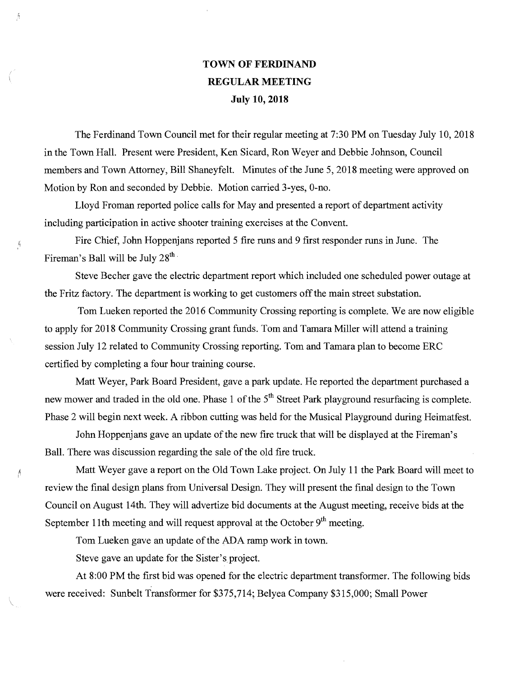## TOWN OF FERDINAND REGULAR MEETING July 10, 2018

 $\Lambda$ 

Ă

Ą

The Ferdinand Town Council met for their regular meeting at 7:30 PM on Tuesday July 10, 2018 in the Town Hall. Present were President, Ken Sicard, Ron Weyer and Debbie Johnson, Council members and Town Attorney, Bill Shaneyfelt. Minutes of the June 5, 2018 meeting were approved on Motion by Ron and seconded by Debbie. Motion carried 3-yes, 0-no.

Lloyd Froman reported police calls for May and presented a report of department activity including participation in active shooter training exercises at the Convent.

Fire Chief, John Hoppenjans reported 5 fire runs and 9 first responder runs in June. The Fireman's Ball will be July  $28<sup>th</sup>$ .

Steve Becher gave the electric department report which included one scheduled power outage at the Fritz factory. The department is working to get customers off the main street substation.

Tom Lueken reported the 2016 Community Crossing reporting is complete. We are now eligible to apply for 2018 Community Crossing grant funds. Tom and Tamara Miller will attend a training session July 12 related to Community Crossing reporting. Tom and Tamara plan to become ERC certified by completing a four hour training course.

Matt Weyer, Park Board President, gave a park update. He reported the department purchased a new mower and traded in the old one. Phase 1 of the 5<sup>th</sup> Street Park playground resurfacing is complete. Phase 2 will begin next week. A ribbon cutting was held for the Musical Playground during Heimatfest.

John Hoppenjans gave an update of the new fire truck that will be displayed at the Fireman's Ball. There was discussion regarding the sale of the old fire truck.

Matt Weyer gave a report on the Old Town Lake project. On July 11 the Park Board will meet to review the final design plans from Universal Design. They will present the final design to the Town Council on August 14th. They will advertize bid documents at the August meeting, receive bids at the September 11th meeting and will request approval at the October  $9<sup>th</sup>$  meeting.

Tom Lueken gave an update of the ADA ramp work in town.

Steve gave an update for the Sister's project.

At 8:00 PM the first bid was opened for the electric department transformer. The following bids were received: Sunbelt Transformer for \$375,714; Belyea Company \$315,000; Small Power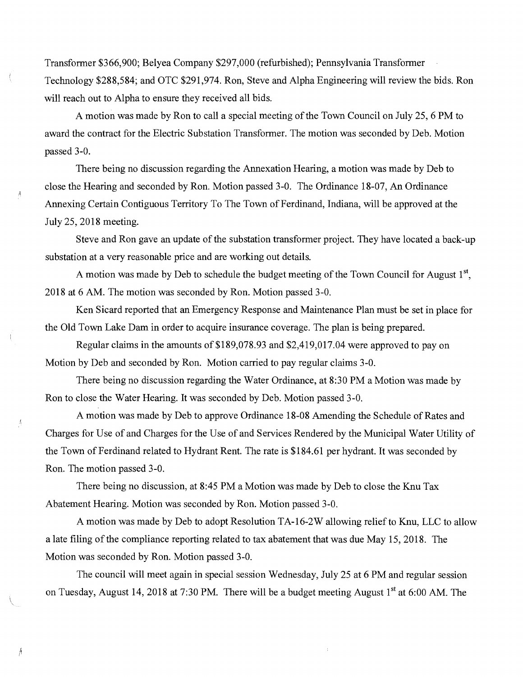Transformer \$366,900; Belyea Company \$297,000 (refurbished); Pennsylvania Transformer Technology \$288,584; and OTC \$291,974. Ron, Steve and Alpha Engineering will review the bids. Ron will reach out to Alpha to ensure they received all bids.

A motion was made by Ron to call a special meeting of the Town Council on July 25, 6 PM to award the contract for the Electric Substation Transformer. The motion was seconded by Deb. Motion passed 3-0.

There being no discussion regarding the Annexation Hearing, a motion was made by Deb to close the Hearing and seconded by Ron. Motion passed 3-0. The Ordinance 18-07, An Ordinance Annexing Certain Contiguous Territory To The Town of Ferdinand, Indiana, will be approved at the July 25, 2018 meeting.

Steve and Ron gave an update of the substation transformer project. They have located a back-up substation at a very reasonable price and are working out details.

A motion was made by Deb to schedule the budget meeting of the Town Council for August 1<sup>st</sup>, 2018 at 6 AM. The motion was seconded by Ron. Motion passed 3-0.

Ken Sicard reported that an Emergency Response and Maintenance Plan must be set in place for the Old Town Lake Dam in order to acquire insurance coverage. The plan is being prepared.

Regular claims in the amounts of \$189,078.93 and \$2,419,017.04 were approved to pay on Motion by Deb and seconded by Ron. Motion carried to pay regular claims 3-0.

There being no discussion regarding the Water Ordinance, at 8:30 PM a Motion was made by Ron to close the Water Hearing. It was seconded by Deb. Motion passed 3-0.

A motion was made by Deb to approve Ordinance 18-08 Amending the Schedule of Rates and Charges for Use of and Charges for the Use of and Services Rendered by the Municipal Water Utility of the Town of Ferdinand related to Hydrant Rent. The rate is \$184.61 per hydrant. It was seconded by Ron. The motion passed 3-0.

There being no discussion, at 8:45 PM a Motion was made by Deb to close the Knu Tax Abatement Hearing. Motion was seconded by Ron. Motion passed 3-0.

A motion was made by Deb to adopt Resolution TA-16-2W allowing relief to Knu, LLC to allow a late filing of the compliance reporting related to tax abatement that was due May 15, 2018. The Motion was seconded by Ron. Motion passed 3-0.

The council will meet again in special session Wednesday, July 25 at 6 PM and regular session on Tuesday, August 14, 2018 at 7:30 PM. There will be a budget meeting August 1<sup>st</sup> at 6:00 AM. The

Á

Ã

 $\lambda$